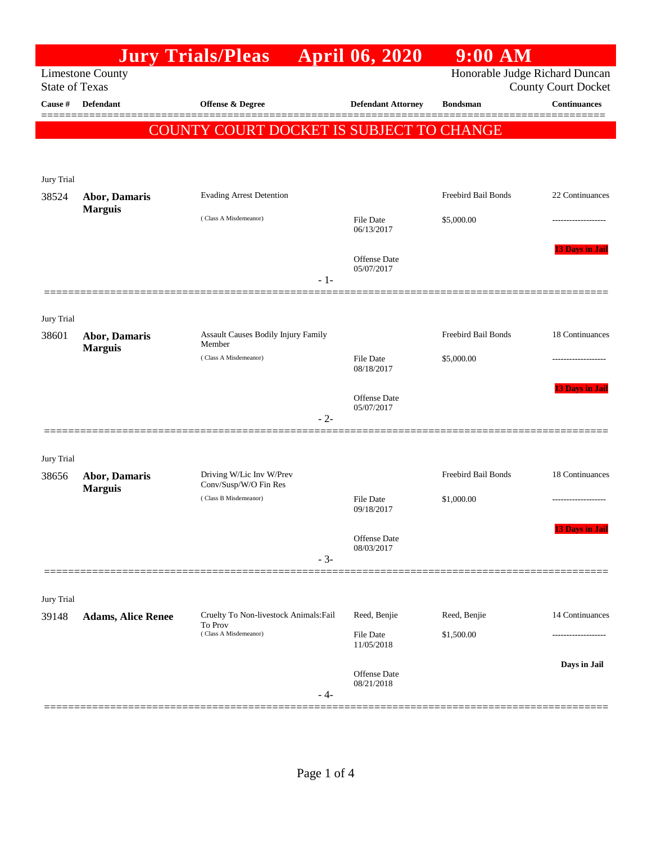|                                                  |                                        | <b>Jury Trials/Pleas</b>                          |       | <b>April 06, 2020</b>             | $9:00$ AM                      |                            |
|--------------------------------------------------|----------------------------------------|---------------------------------------------------|-------|-----------------------------------|--------------------------------|----------------------------|
| <b>Limestone County</b><br><b>State of Texas</b> |                                        |                                                   |       |                                   | Honorable Judge Richard Duncan | <b>County Court Docket</b> |
| Cause #                                          | <b>Defendant</b>                       | <b>Offense &amp; Degree</b>                       |       | <b>Defendant Attorney</b>         | <b>Bondsman</b>                | <b>Continuances</b>        |
|                                                  |                                        | COUNTY COURT DOCKET IS SUBJECT TO CHANGE          |       |                                   |                                |                            |
|                                                  |                                        |                                                   |       |                                   |                                |                            |
| Jury Trial                                       |                                        |                                                   |       |                                   |                                |                            |
| 38524                                            | <b>Abor, Damaris</b>                   | <b>Evading Arrest Detention</b>                   |       |                                   | Freebird Bail Bonds            | 22 Continuances            |
|                                                  | <b>Marguis</b>                         | (Class A Misdemeanor)                             |       | <b>File Date</b>                  | \$5,000.00                     | .                          |
|                                                  |                                        |                                                   |       | 06/13/2017                        |                                |                            |
|                                                  |                                        |                                                   |       | <b>Offense Date</b>               |                                | <b>13 Days in Jail</b>     |
|                                                  |                                        |                                                   | $-1-$ | 05/07/2017                        |                                |                            |
|                                                  |                                        |                                                   |       |                                   |                                |                            |
| Jury Trial                                       |                                        |                                                   |       |                                   |                                |                            |
| 38601                                            | <b>Abor, Damaris</b><br><b>Marguis</b> | Assault Causes Bodily Injury Family<br>Member     |       |                                   | Freebird Bail Bonds            | 18 Continuances            |
|                                                  |                                        | (Class A Misdemeanor)                             |       | File Date<br>08/18/2017           | \$5,000.00                     | .                          |
|                                                  |                                        |                                                   |       |                                   |                                | <b>13 Days in Jail</b>     |
|                                                  |                                        |                                                   |       | <b>Offense Date</b><br>05/07/2017 |                                |                            |
|                                                  |                                        |                                                   | $-2-$ |                                   |                                |                            |
|                                                  |                                        |                                                   |       |                                   |                                |                            |
| Jury Trial<br>38656                              | <b>Abor, Damaris</b>                   | Driving W/Lic Inv W/Prev                          |       |                                   | Freebird Bail Bonds            | 18 Continuances            |
|                                                  | <b>Marguis</b>                         | Conv/Susp/W/O Fin Res<br>(Class B Misdemeanor)    |       | <b>File Date</b>                  | \$1,000.00                     | -------------------        |
|                                                  |                                        |                                                   |       | 09/18/2017                        |                                |                            |
|                                                  |                                        |                                                   |       | <b>Offense Date</b>               |                                | 13 Days in Jail            |
|                                                  |                                        |                                                   | $-3-$ | 08/03/2017                        |                                |                            |
|                                                  |                                        |                                                   |       |                                   |                                |                            |
| Jury Trial                                       |                                        |                                                   |       |                                   |                                |                            |
| 39148                                            | <b>Adams, Alice Renee</b>              | Cruelty To Non-livestock Animals: Fail<br>To Prov |       | Reed, Benjie                      | Reed, Benjie                   | 14 Continuances            |
|                                                  |                                        | (Class A Misdemeanor)                             |       | File Date<br>11/05/2018           | \$1,500.00                     |                            |
|                                                  |                                        |                                                   |       |                                   |                                | Days in Jail               |
|                                                  |                                        |                                                   |       | <b>Offense Date</b><br>08/21/2018 |                                |                            |
|                                                  |                                        |                                                   | - 4-  |                                   |                                |                            |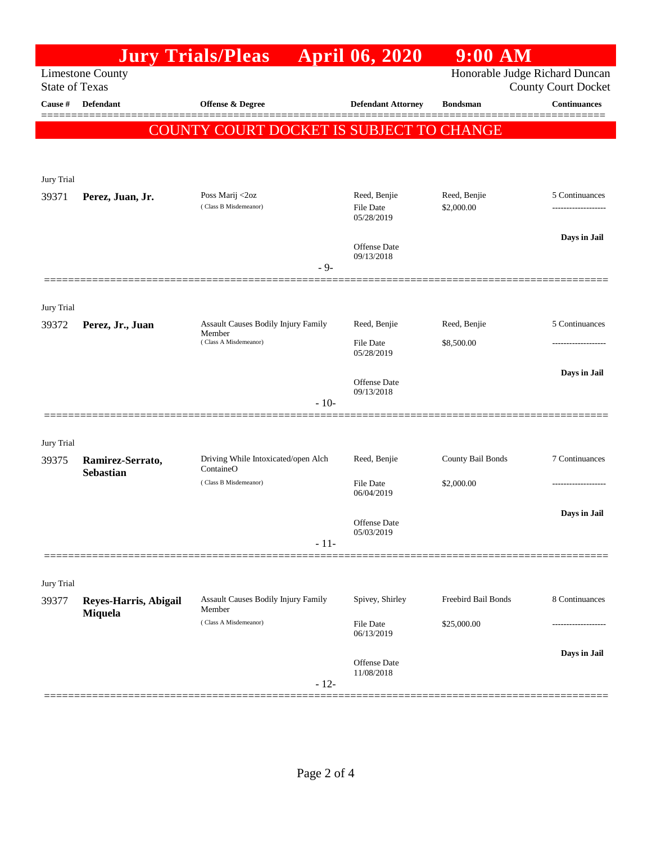|                                                  |                                      | <b>Jury Trials/Pleas</b>                                                  |        | <b>April 06, 2020</b>                          | <b>9:00 AM</b>                                               |                                      |
|--------------------------------------------------|--------------------------------------|---------------------------------------------------------------------------|--------|------------------------------------------------|--------------------------------------------------------------|--------------------------------------|
| <b>Limestone County</b><br><b>State of Texas</b> |                                      |                                                                           |        |                                                | Honorable Judge Richard Duncan<br><b>County Court Docket</b> |                                      |
| Cause #                                          | <b>Defendant</b>                     | <b>Offense &amp; Degree</b>                                               |        | <b>Defendant Attorney</b>                      | <b>Bondsman</b>                                              | <b>Continuances</b>                  |
|                                                  |                                      | 'Y COURT DOCKET IS SUBJECT TO CHANGE<br>COUN                              |        |                                                |                                                              |                                      |
| Jury Trial                                       |                                      |                                                                           |        |                                                |                                                              |                                      |
| 39371                                            | Perez, Juan, Jr.                     | Poss Marij <2oz<br>(Class B Misdemeanor)                                  |        | Reed, Benjie<br><b>File Date</b><br>05/28/2019 | Reed, Benjie<br>\$2,000.00                                   | 5 Continuances<br>------------------ |
|                                                  |                                      |                                                                           | $-9-$  | <b>Offense Date</b><br>09/13/2018              |                                                              | Days in Jail                         |
| Jury Trial                                       |                                      |                                                                           |        |                                                |                                                              | 5 Continuances                       |
| 39372                                            | Perez, Jr., Juan                     | Assault Causes Bodily Injury Family<br>Member<br>(Class A Misdemeanor)    |        | Reed, Benjie<br><b>File Date</b><br>05/28/2019 | Reed, Benjie<br>\$8,500.00                                   |                                      |
|                                                  |                                      |                                                                           | $-10-$ | <b>Offense Date</b><br>09/13/2018              |                                                              | Days in Jail                         |
| Jury Trial                                       |                                      |                                                                           |        |                                                |                                                              |                                      |
| 39375                                            | Ramirez-Serrato,<br><b>Sebastian</b> | Driving While Intoxicated/open Alch<br>ContaineO<br>(Class B Misdemeanor) |        | Reed, Benjie<br><b>File Date</b>               | County Bail Bonds<br>\$2,000.00                              | 7 Continuances                       |
|                                                  |                                      |                                                                           | $-11-$ | 06/04/2019<br>Offense Date<br>05/03/2019       |                                                              | Days in Jail                         |
| Jury Trial                                       |                                      |                                                                           |        |                                                |                                                              |                                      |
| 39377                                            | Reyes-Harris, Abigail<br>Miquela     | Assault Causes Bodily Injury Family<br>Member<br>(Class A Misdemeanor)    |        | Spivey, Shirley<br><b>File Date</b>            | Freebird Bail Bonds<br>\$25,000.00                           | 8 Continuances<br>-----------------  |
|                                                  |                                      |                                                                           | $-12-$ | 06/13/2019<br>Offense Date<br>11/08/2018       |                                                              | Days in Jail                         |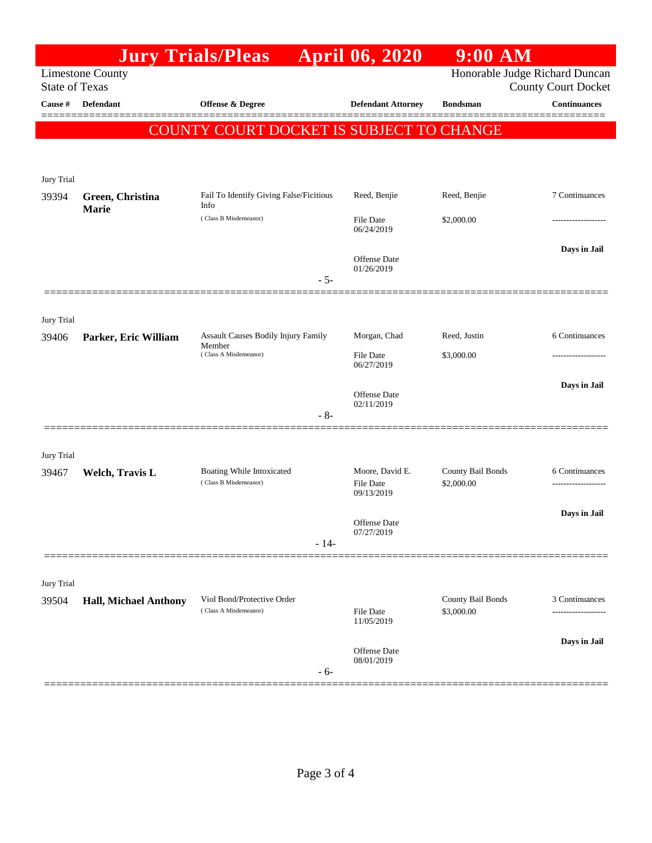|                       |                              | <b>Jury Trials/Pleas</b>                                               |                                                | <b>April 06, 2020</b>                                        | $9:00$ AM                       |                                                              |
|-----------------------|------------------------------|------------------------------------------------------------------------|------------------------------------------------|--------------------------------------------------------------|---------------------------------|--------------------------------------------------------------|
| <b>State of Texas</b> | <b>Limestone County</b>      |                                                                        |                                                |                                                              |                                 | Honorable Judge Richard Duncan<br><b>County Court Docket</b> |
| Cause #               | <b>Defendant</b>             | <b>Offense &amp; Degree</b>                                            |                                                | <b>Defendant Attorney</b>                                    | <b>Bondsman</b>                 | <b>Continuances</b>                                          |
|                       |                              | COUNTY COURT DOCKET IS SUBJECT TO CHANGE                               |                                                |                                                              |                                 |                                                              |
| Jury Trial<br>39394   | Green, Christina             | Fail To Identify Giving False/Ficitious                                |                                                | Reed, Benjie                                                 | Reed, Benjie                    | 7 Continuances                                               |
|                       | Marie                        | Info<br>(Class B Misdemeanor)                                          | File Date<br>06/24/2019                        | \$2,000.00                                                   |                                 |                                                              |
|                       |                              |                                                                        | $-5-$                                          | Offense Date<br>01/26/2019                                   |                                 | Days in Jail                                                 |
| Jury Trial            |                              |                                                                        |                                                |                                                              |                                 |                                                              |
| 39406                 | Parker, Eric William         | Assault Causes Bodily Injury Family<br>Member<br>(Class A Misdemeanor) | Morgan, Chad<br><b>File Date</b><br>06/27/2019 | Reed, Justin<br>\$3,000.00                                   | 6 Continuances                  |                                                              |
|                       |                              |                                                                        | $-8-$                                          | Offense Date<br>02/11/2019                                   |                                 | Days in Jail                                                 |
| Jury Trial<br>39467   | Welch, Travis L              | Boating While Intoxicated<br>(Class B Misdemeanor)                     | Moore, David E.                                | County Bail Bonds                                            | 6 Continuances                  |                                                              |
|                       |                              |                                                                        |                                                | <b>File Date</b><br>09/13/2019<br>Offense Date<br>07/27/2019 | \$2,000.00                      | Days in Jail                                                 |
|                       |                              |                                                                        | $-14-$                                         |                                                              |                                 |                                                              |
| Jury Trial<br>39504   | <b>Hall, Michael Anthony</b> | Viol Bond/Protective Order<br>(Class A Misdemeanor)                    |                                                | File Date<br>11/05/2019                                      | County Bail Bonds<br>\$3,000.00 | 3 Continuances<br>------------------                         |
|                       |                              |                                                                        | $-6-$                                          | <b>Offense Date</b><br>08/01/2019                            |                                 | Days in Jail                                                 |